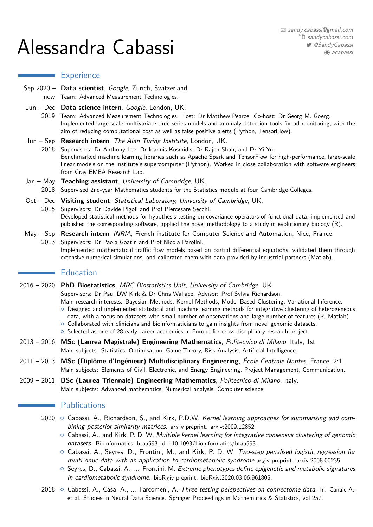# Alessandra Cabassi

## **Experience**

- Sep 2020 Data scientist, Google, Zurich, Switzerland. now Team: Advanced Measurement Technologies.
- Jun Dec **Data science intern**, Google, London, UK.
- 2019 Team: Advanced Measurement Technologies. Host: Dr Matthew Pearce. Co-host: Dr Georg M. Goerg. Implemented large-scale multivariate time series models and anomaly detection tools for ad monitoring, with the aim of reducing computational cost as well as false positive alerts (Python, TensorFlow).
- Jun Sep **Research intern**, The Alan Turing Institute, London, UK.
- 2018 Supervisors: Dr Anthony Lee, Dr Ioannis Kosmidis, Dr Rajen Shah, and Dr Yi Yu. Benchmarked machine learning libraries such as Apache Spark and TensorFlow for high-performance, large-scale linear models on the Institute's supercomputer (Python). Worked in close collaboration with software engineers from Cray EMEA Research Lab.
- Jan May **Teaching assistant**, University of Cambridge, UK. 2018 Supervised 2nd-year Mathematics students for the Statistics module at four Cambridge Colleges.
- Oct Dec Visiting student, Statistical Laboratory, University of Cambridge, UK.
- 2015 Supervisors: Dr Davide Pigoli and Prof Piercesare Secchi. Developed statistical methods for hypothesis testing on covariance operators of functional data, implemented and published the corresponding software, applied the novel methodology to a study in evolutionary biology (R).
- May Sep **Research intern**, INRIA, French institute for Computer Science and Automation, Nice, France. 2013 Supervisors: Dr Paola Goatin and Prof Nicola Parolini.
	- Implemented mathematical traffic flow models based on partial differential equations, validated them through extensive numerical simulations, and calibrated them with data provided by industrial partners (Matlab).

# **Education**

2016 – 2020 **PhD Biostatistics**, MRC Biostatistics Unit, University of Cambridge, UK.

Supervisors: Dr Paul DW Kirk & Dr Chris Wallace. Advisor: Prof Sylvia Richardson. Main research interests: Bayesian Methods, Kernel Methods, Model-Based Clustering, Variational Inference.

- { Designed and implemented statistical and machine learning methods for integrative clustering of heterogeneous data, with a focus on datasets with small number of observations and large number of features (R, Matlab).
- $\circ$  Collaborated with clinicians and bioinformaticians to gain insights from novel genomic datasets.
- o Selected as one of 28 early-career academics in Europe for cross-disciplinary research project.
- 2013 2016 **MSc (Laurea Magistrale) Engineering Mathematics**, Politecnico di Milano, Italy, 1st. Main subjects: Statistics, Optimisation, Game Theory, Risk Analysis, Artificial Intelligence.
- 2011 2013 **MSc (Diplôme d'Ingénieur) Multidisciplinary Engineering**, École Centrale Nantes, France, 2:1. Main subjects: Elements of Civil, Electronic, and Energy Engineering, Project Management, Communication.
- 2009 2011 **BSc (Laurea Triennale) Engineering Mathematics**, Politecnico di Milano, Italy. Main subjects: Advanced mathematics, Numerical analysis, Computer science.

## **Publications**

- 2020 Cabassi, A., Richardson, S., and Kirk, P.D.W. [Kernel learning approaches for summarising and com](https://arxiv.org/abs/2009.12852)[bining posterior similarity matrices.](https://arxiv.org/abs/2009.12852) ar*χ*iv preprint. [arxiv:2009.12852](https://arxiv.org/abs/2009.12852)
	- $\circ$  Cabassi, A., and Kirk, P. D. W. [Multiple kernel learning for integrative consensus clustering of genomic](https://doi.org/10.1093/bioinformatics/btaa593) [datasets.](https://doi.org/10.1093/bioinformatics/btaa593) Bioinformatics, btaa593. [doi:10.1093/bioinformatics/btaa593.](https://doi.org/10.1093/bioinformatics/btaa593)
	- $\circ$  Cabassi, A., Seyres, D., Frontini, M., and Kirk, P. D. W. [Two-step penalised logistic regression for](https://arxiv.org/abs/2008.00235) [multi-omic data with an application to cardiometabolic syndrome](https://arxiv.org/abs/2008.00235) ar*χ*iv preprint. [arxiv:2008.00235](https://arxiv.org/abs/2008.00235)
	- $\circ$  Seyres, D., Cabassi, A., ... Frontini, M. [Extreme phenotypes define epigenetic and metabolic signatures](https://doi.org/10.1101/2020.03.06.961805) [in cardiometabolic syndrome.](https://doi.org/10.1101/2020.03.06.961805) bioR*χ*iv preprint. [bioRxiv:2020.03.06.961805.](https://doi.org/10.1101/2020.03.06.961805)
- 2018 Cabassi, A., Casa, A., ... Farcomeni, A. Three testing perspectives on connectome data. In: Canale A., et al. Studies in Neural Data Science. Springer Proceedings in Mathematics & Statistics, vol 257.